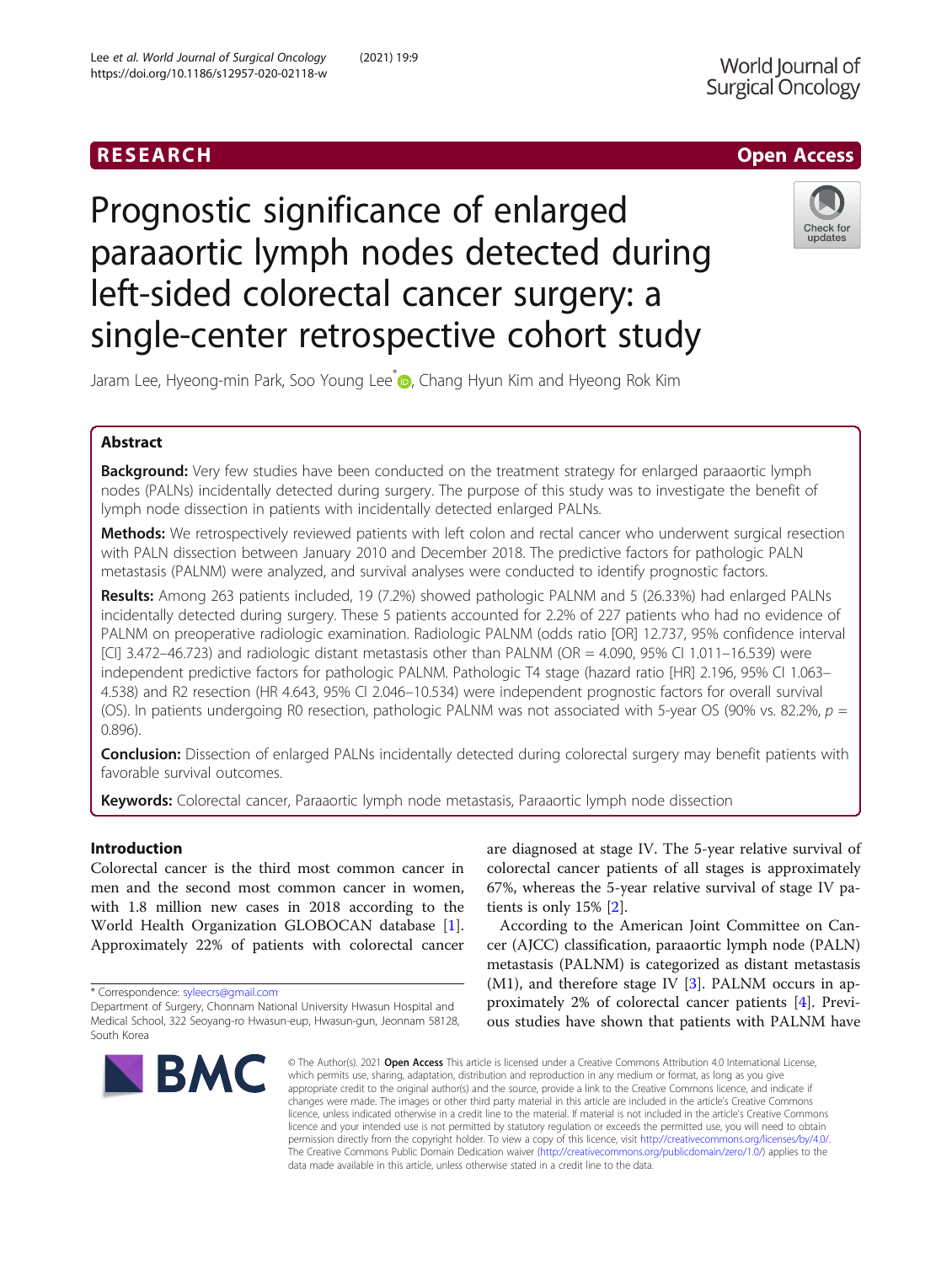## RESEARCH **RESEARCH CHANNEL CONTROL**

# Prognostic significance of enlarged paraaortic lymph nodes detected during left-sided colorectal cancer surgery: a single-center retrospective cohort study



Jaram Lee, Hyeong-min Park, Soo Young Lee D, Chang Hyun Kim and Hyeong Rok Kim

### Abstract

Background: Very few studies have been conducted on the treatment strategy for enlarged paraaortic lymph nodes (PALNs) incidentally detected during surgery. The purpose of this study was to investigate the benefit of lymph node dissection in patients with incidentally detected enlarged PALNs.

Methods: We retrospectively reviewed patients with left colon and rectal cancer who underwent surgical resection with PALN dissection between January 2010 and December 2018. The predictive factors for pathologic PALN metastasis (PALNM) were analyzed, and survival analyses were conducted to identify prognostic factors.

Results: Among 263 patients included, 19 (7.2%) showed pathologic PALNM and 5 (26.33%) had enlarged PALNs incidentally detected during surgery. These 5 patients accounted for 2.2% of 227 patients who had no evidence of PALNM on preoperative radiologic examination. Radiologic PALNM (odds ratio [OR] 12.737, 95% confidence interval [CI] 3.472–46.723) and radiologic distant metastasis other than PALNM (OR = 4.090, 95% CI 1.011–16.539) were independent predictive factors for pathologic PALNM. Pathologic T4 stage (hazard ratio [HR] 2.196, 95% CI 1.063– 4.538) and R2 resection (HR 4.643, 95% CI 2.046–10.534) were independent prognostic factors for overall survival (OS). In patients undergoing R0 resection, pathologic PALNM was not associated with 5-year OS (90% vs. 82.2%,  $p =$ 0.896).

**Conclusion:** Dissection of enlarged PALNs incidentally detected during colorectal surgery may benefit patients with favorable survival outcomes.

Keywords: Colorectal cancer, Paraaortic lymph node metastasis, Paraaortic lymph node dissection

#### Introduction

Colorectal cancer is the third most common cancer in men and the second most common cancer in women, with 1.8 million new cases in 2018 according to the World Health Organization GLOBOCAN database [\[1](#page-6-0)]. Approximately 22% of patients with colorectal cancer

\* Correspondence: [syleecrs@gmail.com](mailto:syleecrs@gmail.com)

Department of Surgery, Chonnam National University Hwasun Hospital and Medical School, 322 Seoyang-ro Hwasun-eup, Hwasun-gun, Jeonnam 58128, South Korea



are diagnosed at stage IV. The 5-year relative survival of colorectal cancer patients of all stages is approximately 67%, whereas the 5-year relative survival of stage IV patients is only 15% [[2\]](#page-6-0).

According to the American Joint Committee on Cancer (AJCC) classification, paraaortic lymph node (PALN) metastasis (PALNM) is categorized as distant metastasis  $(M1)$ , and therefore stage IV  $[3]$  $[3]$ . PALNM occurs in approximately 2% of colorectal cancer patients [[4\]](#page-6-0). Previous studies have shown that patients with PALNM have

© The Author(s), 2021 **Open Access** This article is licensed under a Creative Commons Attribution 4.0 International License, which permits use, sharing, adaptation, distribution and reproduction in any medium or format, as long as you give appropriate credit to the original author(s) and the source, provide a link to the Creative Commons licence, and indicate if changes were made. The images or other third party material in this article are included in the article's Creative Commons licence, unless indicated otherwise in a credit line to the material. If material is not included in the article's Creative Commons licence and your intended use is not permitted by statutory regulation or exceeds the permitted use, you will need to obtain permission directly from the copyright holder. To view a copy of this licence, visit [http://creativecommons.org/licenses/by/4.0/.](http://creativecommons.org/licenses/by/4.0/) The Creative Commons Public Domain Dedication waiver [\(http://creativecommons.org/publicdomain/zero/1.0/](http://creativecommons.org/publicdomain/zero/1.0/)) applies to the data made available in this article, unless otherwise stated in a credit line to the data.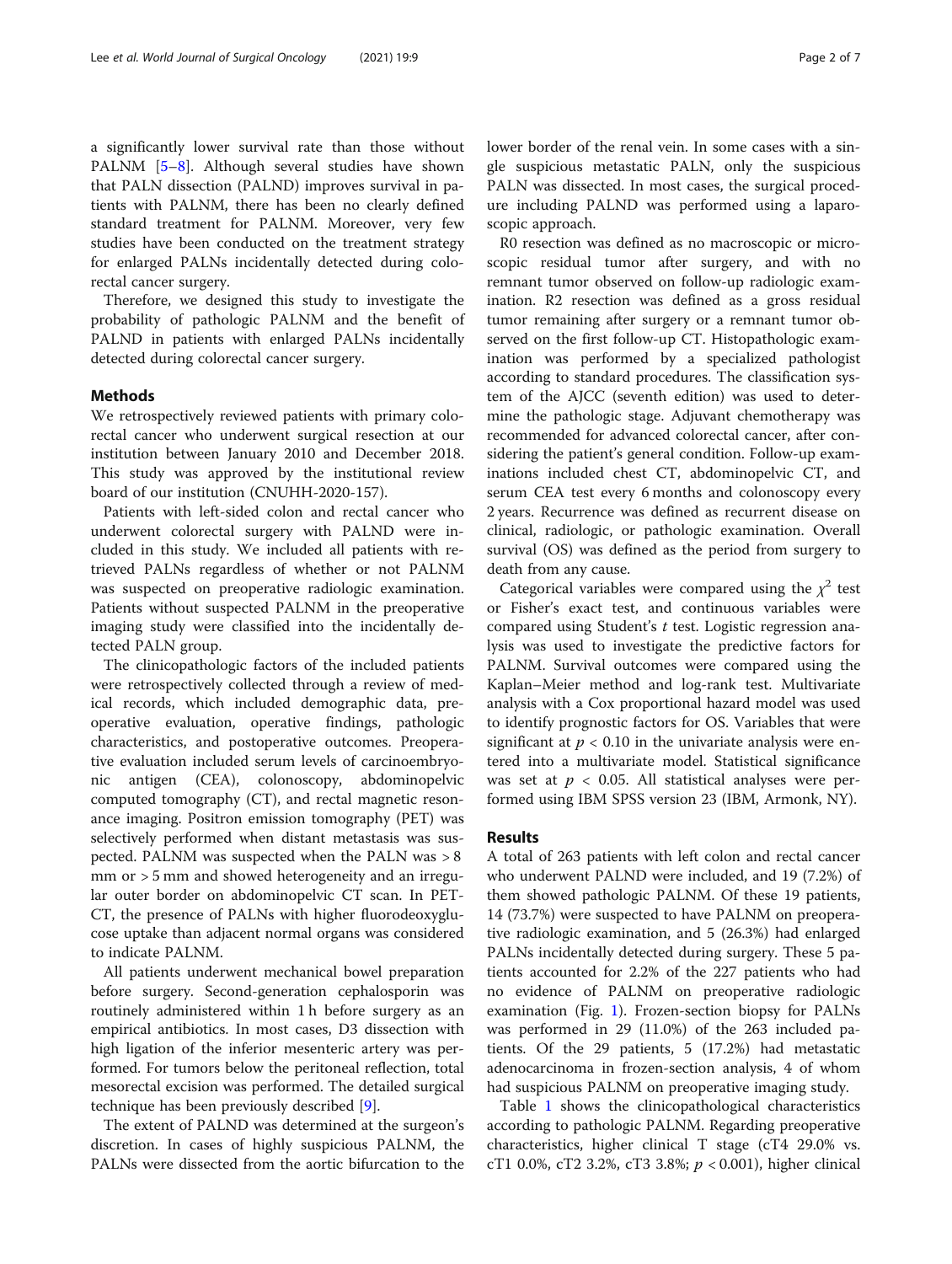a significantly lower survival rate than those without PALNM [\[5](#page-6-0)–[8](#page-6-0)]. Although several studies have shown that PALN dissection (PALND) improves survival in patients with PALNM, there has been no clearly defined standard treatment for PALNM. Moreover, very few studies have been conducted on the treatment strategy for enlarged PALNs incidentally detected during colorectal cancer surgery.

Therefore, we designed this study to investigate the probability of pathologic PALNM and the benefit of PALND in patients with enlarged PALNs incidentally detected during colorectal cancer surgery.

#### Methods

We retrospectively reviewed patients with primary colorectal cancer who underwent surgical resection at our institution between January 2010 and December 2018. This study was approved by the institutional review board of our institution (CNUHH-2020-157).

Patients with left-sided colon and rectal cancer who underwent colorectal surgery with PALND were included in this study. We included all patients with retrieved PALNs regardless of whether or not PALNM was suspected on preoperative radiologic examination. Patients without suspected PALNM in the preoperative imaging study were classified into the incidentally detected PALN group.

The clinicopathologic factors of the included patients were retrospectively collected through a review of medical records, which included demographic data, preoperative evaluation, operative findings, pathologic characteristics, and postoperative outcomes. Preoperative evaluation included serum levels of carcinoembryonic antigen (CEA), colonoscopy, abdominopelvic computed tomography (CT), and rectal magnetic resonance imaging. Positron emission tomography (PET) was selectively performed when distant metastasis was suspected. PALNM was suspected when the PALN was > 8 mm or > 5 mm and showed heterogeneity and an irregular outer border on abdominopelvic CT scan. In PET-CT, the presence of PALNs with higher fluorodeoxyglucose uptake than adjacent normal organs was considered to indicate PALNM.

All patients underwent mechanical bowel preparation before surgery. Second-generation cephalosporin was routinely administered within 1 h before surgery as an empirical antibiotics. In most cases, D3 dissection with high ligation of the inferior mesenteric artery was performed. For tumors below the peritoneal reflection, total mesorectal excision was performed. The detailed surgical technique has been previously described [[9\]](#page-6-0).

The extent of PALND was determined at the surgeon's discretion. In cases of highly suspicious PALNM, the PALNs were dissected from the aortic bifurcation to the lower border of the renal vein. In some cases with a single suspicious metastatic PALN, only the suspicious PALN was dissected. In most cases, the surgical procedure including PALND was performed using a laparoscopic approach.

R0 resection was defined as no macroscopic or microscopic residual tumor after surgery, and with no remnant tumor observed on follow-up radiologic examination. R2 resection was defined as a gross residual tumor remaining after surgery or a remnant tumor observed on the first follow-up CT. Histopathologic examination was performed by a specialized pathologist according to standard procedures. The classification system of the AJCC (seventh edition) was used to determine the pathologic stage. Adjuvant chemotherapy was recommended for advanced colorectal cancer, after considering the patient's general condition. Follow-up examinations included chest CT, abdominopelvic CT, and serum CEA test every 6 months and colonoscopy every 2 years. Recurrence was defined as recurrent disease on clinical, radiologic, or pathologic examination. Overall survival (OS) was defined as the period from surgery to death from any cause.

Categorical variables were compared using the  $\chi^2$  test or Fisher's exact test, and continuous variables were compared using Student's t test. Logistic regression analysis was used to investigate the predictive factors for PALNM. Survival outcomes were compared using the Kaplan–Meier method and log-rank test. Multivariate analysis with a Cox proportional hazard model was used to identify prognostic factors for OS. Variables that were significant at  $p < 0.10$  in the univariate analysis were entered into a multivariate model. Statistical significance was set at  $p < 0.05$ . All statistical analyses were performed using IBM SPSS version 23 (IBM, Armonk, NY).

#### Results

A total of 263 patients with left colon and rectal cancer who underwent PALND were included, and 19 (7.2%) of them showed pathologic PALNM. Of these 19 patients, 14 (73.7%) were suspected to have PALNM on preoperative radiologic examination, and 5 (26.3%) had enlarged PALNs incidentally detected during surgery. These 5 patients accounted for 2.2% of the 227 patients who had no evidence of PALNM on preoperative radiologic examination (Fig. [1](#page-2-0)). Frozen-section biopsy for PALNs was performed in 29 (11.0%) of the 263 included patients. Of the 29 patients, 5 (17.2%) had metastatic adenocarcinoma in frozen-section analysis, 4 of whom had suspicious PALNM on preoperative imaging study.

Table [1](#page-3-0) shows the clinicopathological characteristics according to pathologic PALNM. Regarding preoperative characteristics, higher clinical T stage (cT4 29.0% vs. cT1 0.0%, cT2 3.2%, cT3 3.8%;  $p < 0.001$ ), higher clinical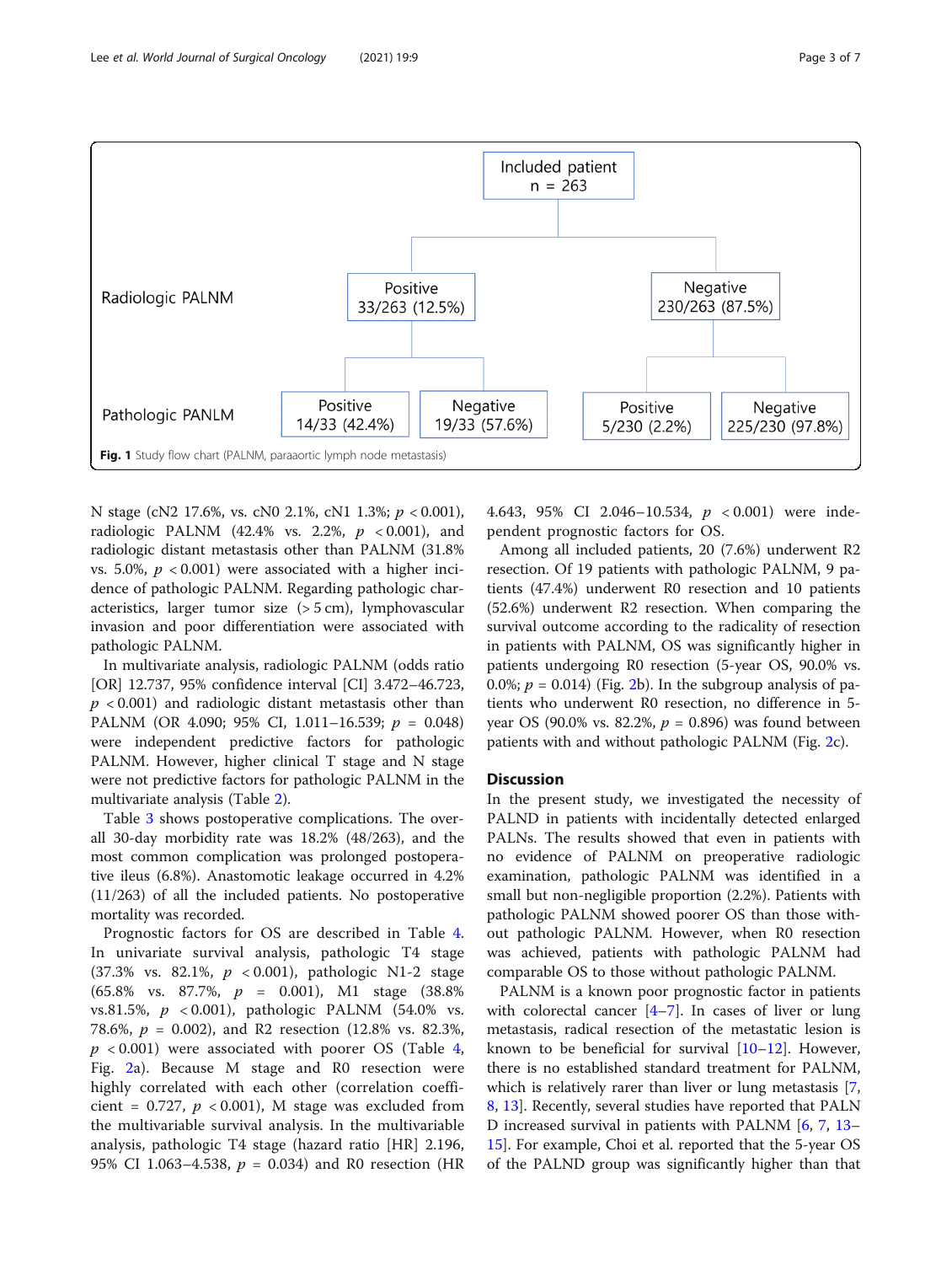<span id="page-2-0"></span>

N stage (cN2 17.6%, vs. cN0 2.1%, cN1 1.3%; p < 0.001), radiologic PALNM (42.4% vs. 2.2%,  $p < 0.001$ ), and radiologic distant metastasis other than PALNM (31.8% vs. 5.0%,  $p < 0.001$ ) were associated with a higher incidence of pathologic PALNM. Regarding pathologic characteristics, larger tumor size (> 5 cm), lymphovascular invasion and poor differentiation were associated with pathologic PALNM.

In multivariate analysis, radiologic PALNM (odds ratio [OR] 12.737, 95% confidence interval [CI] 3.472–46.723,  $p$  < 0.001) and radiologic distant metastasis other than PALNM (OR 4.090; 95% CI, 1.011-16.539;  $p = 0.048$ ) were independent predictive factors for pathologic PALNM. However, higher clinical T stage and N stage were not predictive factors for pathologic PALNM in the multivariate analysis (Table [2\)](#page-4-0).

Table [3](#page-4-0) shows postoperative complications. The overall 30-day morbidity rate was 18.2% (48/263), and the most common complication was prolonged postoperative ileus (6.8%). Anastomotic leakage occurred in 4.2% (11/263) of all the included patients. No postoperative mortality was recorded.

Prognostic factors for OS are described in Table [4](#page-5-0). In univariate survival analysis, pathologic T4 stage  $(37.3\% \text{ vs. } 82.1\%, p < 0.001)$ , pathologic N1-2 stage (65.8% vs. 87.7%, p = 0.001), M1 stage (38.8% vs.81.5%,  $p \le 0.001$ ), pathologic PALNM (54.0% vs. 78.6%,  $p = 0.002$ ), and R2 resection (12.8% vs. 82.3%,  $p \leq 0.001$ ) were associated with poorer OS (Table [4](#page-5-0), Fig. [2a](#page-5-0)). Because M stage and R0 resection were highly correlated with each other (correlation coefficient = 0.727,  $p < 0.001$ ), M stage was excluded from the multivariable survival analysis. In the multivariable analysis, pathologic T4 stage (hazard ratio [HR] 2.196, 95% CI 1.063–4.538,  $p = 0.034$ ) and R0 resection (HR 4.643, 95% CI 2.046–10.534, p < 0.001) were independent prognostic factors for OS.

Among all included patients, 20 (7.6%) underwent R2 resection. Of 19 patients with pathologic PALNM, 9 patients (47.4%) underwent R0 resection and 10 patients (52.6%) underwent R2 resection. When comparing the survival outcome according to the radicality of resection in patients with PALNM, OS was significantly higher in patients undergoing R0 resection (5-year OS, 90.0% vs. 0.0%;  $p = 0.014$ ) (Fig. [2b](#page-5-0)). In the subgroup analysis of patients who underwent R0 resection, no difference in 5 year OS (90.0% vs. 82.2%,  $p = 0.896$ ) was found between patients with and without pathologic PALNM (Fig. [2c](#page-5-0)).

#### **Discussion**

In the present study, we investigated the necessity of PALND in patients with incidentally detected enlarged PALNs. The results showed that even in patients with no evidence of PALNM on preoperative radiologic examination, pathologic PALNM was identified in a small but non-negligible proportion (2.2%). Patients with pathologic PALNM showed poorer OS than those without pathologic PALNM. However, when R0 resection was achieved, patients with pathologic PALNM had comparable OS to those without pathologic PALNM.

PALNM is a known poor prognostic factor in patients with colorectal cancer  $[4-7]$  $[4-7]$  $[4-7]$  $[4-7]$  $[4-7]$ . In cases of liver or lung metastasis, radical resection of the metastatic lesion is known to be beneficial for survival  $[10-12]$  $[10-12]$  $[10-12]$ . However, there is no established standard treatment for PALNM, which is relatively rarer than liver or lung metastasis [\[7](#page-6-0), [8,](#page-6-0) [13\]](#page-6-0). Recently, several studies have reported that PALN D increased survival in patients with PALNM [[6,](#page-6-0) [7](#page-6-0), [13](#page-6-0)– [15\]](#page-6-0). For example, Choi et al. reported that the 5-year OS of the PALND group was significantly higher than that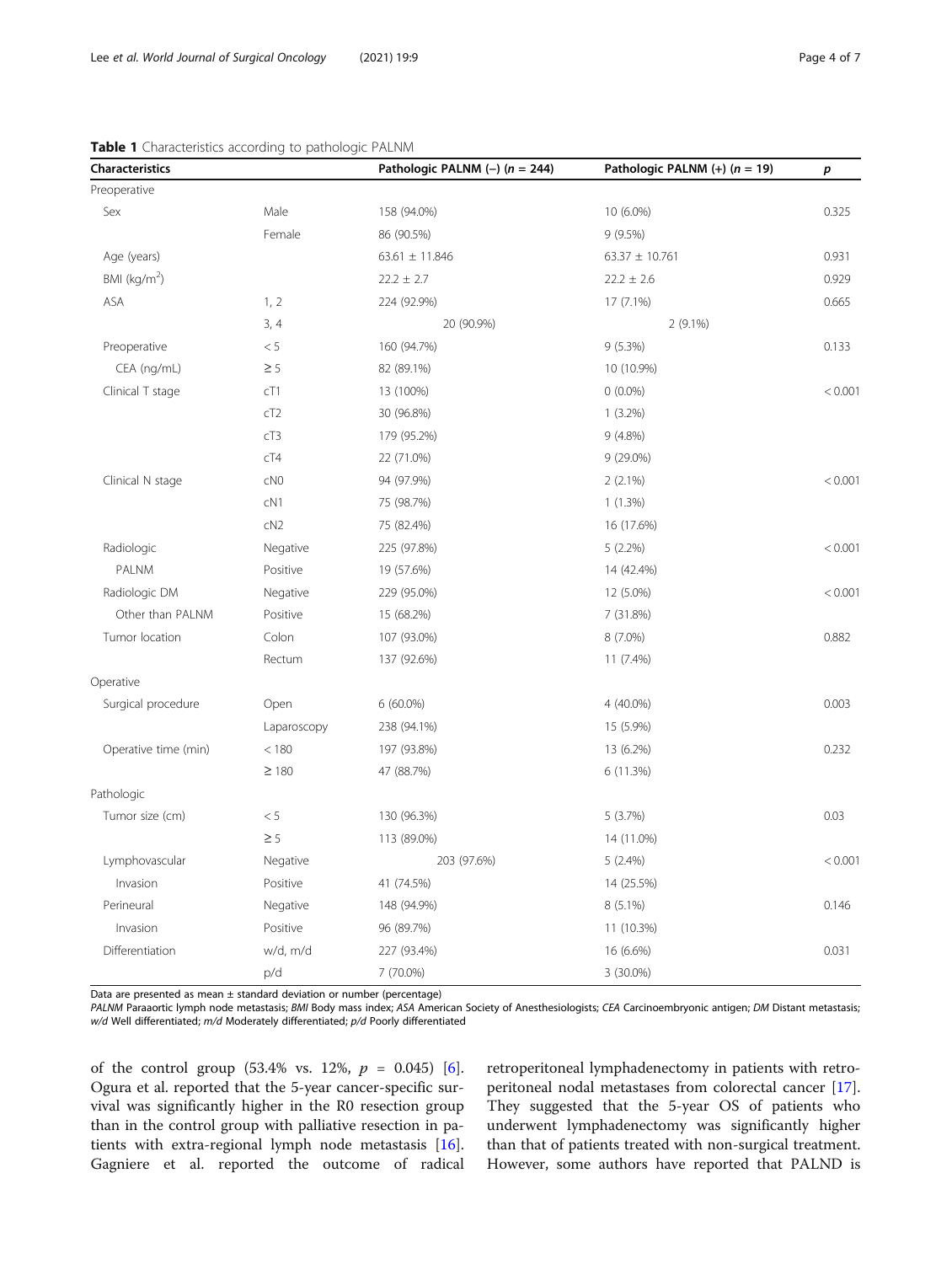| <b>Characteristics</b> |                 | Pathologic PALNM $(-)$ (n = 244) | Pathologic PALNM $(+)$ ( $n = 19$ ) | р       |
|------------------------|-----------------|----------------------------------|-------------------------------------|---------|
| Preoperative           |                 |                                  |                                     |         |
| Sex                    | Male            | 158 (94.0%)                      | 10 (6.0%)                           | 0.325   |
|                        | Female          | 86 (90.5%)                       | 9(9.5%)                             |         |
| Age (years)            |                 | $63.61 \pm 11.846$               | $63.37 \pm 10.761$                  | 0.931   |
| BMI ( $kg/m2$ )        |                 | $22.2 \pm 2.7$                   | $22.2 \pm 2.6$                      | 0.929   |
| ASA                    | 1, 2            | 224 (92.9%)                      | 17 (7.1%)                           | 0.665   |
|                        | 3, 4            | 20 (90.9%)                       | 2 (9.1%)                            |         |
| Preoperative           | $< 5\,$         | 160 (94.7%)                      | $9(5.3\%)$                          | 0.133   |
| CEA (ng/mL)            | $\geq$ 5        | 82 (89.1%)                       | 10 (10.9%)                          |         |
| Clinical T stage       | cT1             | 13 (100%)                        | $0(0.0\%)$                          | < 0.001 |
|                        | cT2             | 30 (96.8%)                       | $1(3.2\%)$                          |         |
|                        | cT3             | 179 (95.2%)                      | $9(4.8\%)$                          |         |
|                        | cT4             | 22 (71.0%)                       | 9 (29.0%)                           |         |
| Clinical N stage       | cN <sub>0</sub> | 94 (97.9%)                       | 2(2.1%)                             | < 0.001 |
|                        | cN1             | 75 (98.7%)                       | 1(1.3%)                             |         |
|                        | cN2             | 75 (82.4%)                       | 16 (17.6%)                          |         |
| Radiologic             | Negative        | 225 (97.8%)                      | $5(2.2\%)$                          | < 0.001 |
| PALNM                  | Positive        | 19 (57.6%)                       | 14 (42.4%)                          |         |
| Radiologic DM          | Negative        | 229 (95.0%)                      | 12 (5.0%)                           | < 0.001 |
| Other than PALNM       | Positive        | 15 (68.2%)                       | 7 (31.8%)                           |         |
| Tumor location         | Colon           | 107 (93.0%)                      | 8 (7.0%)                            | 0.882   |
|                        | Rectum          | 137 (92.6%)                      | 11 (7.4%)                           |         |
| Operative              |                 |                                  |                                     |         |
| Surgical procedure     | Open            | $6(60.0\%)$                      | 4 (40.0%)                           | 0.003   |
|                        | Laparoscopy     | 238 (94.1%)                      | 15 (5.9%)                           |         |
| Operative time (min)   | < 180           | 197 (93.8%)                      | 13 (6.2%)                           | 0.232   |
|                        | $\geq 180$      | 47 (88.7%)                       | 6 (11.3%)                           |         |
| Pathologic             |                 |                                  |                                     |         |
| Tumor size (cm)        | $< 5\,$         | 130 (96.3%)                      | 5(3.7%)                             | 0.03    |
|                        | $\geq$ 5        | 113 (89.0%)                      | 14 (11.0%)                          |         |
| Lymphovascular         | Negative        | 203 (97.6%)                      | 5(2.4%)                             | < 0.001 |
| Invasion               | Positive        | 41 (74.5%)                       | 14 (25.5%)                          |         |
| Perineural             | Negative        | 148 (94.9%)                      | 8 (5.1%)                            | 0.146   |
| Invasion               | Positive        | 96 (89.7%)                       | 11 (10.3%)                          |         |
| Differentiation        | w/d, m/d        | 227 (93.4%)                      | 16 (6.6%)                           | 0.031   |
|                        | p/d             | 7 (70.0%)                        | 3 (30.0%)                           |         |

#### <span id="page-3-0"></span>Table 1 Characteristics according to pathologic PALNM

Data are presented as mean  $\pm$  standard deviation or number (percentage)

PALNM Paraaortic lymph node metastasis; BMI Body mass index; ASA American Society of Anesthesiologists; CEA Carcinoembryonic antigen; DM Distant metastasis; w/d Well differentiated; m/d Moderately differentiated; p/d Poorly differentiated

of the control group  $(53.4\% \text{ vs. } 12\%, p = 0.045)$  [\[6](#page-6-0)]. Ogura et al. reported that the 5-year cancer-specific survival was significantly higher in the R0 resection group than in the control group with palliative resection in patients with extra-regional lymph node metastasis [\[16](#page-6-0)]. Gagniere et al. reported the outcome of radical

retroperitoneal lymphadenectomy in patients with retroperitoneal nodal metastases from colorectal cancer [\[17](#page-6-0)]. They suggested that the 5-year OS of patients who underwent lymphadenectomy was significantly higher than that of patients treated with non-surgical treatment. However, some authors have reported that PALND is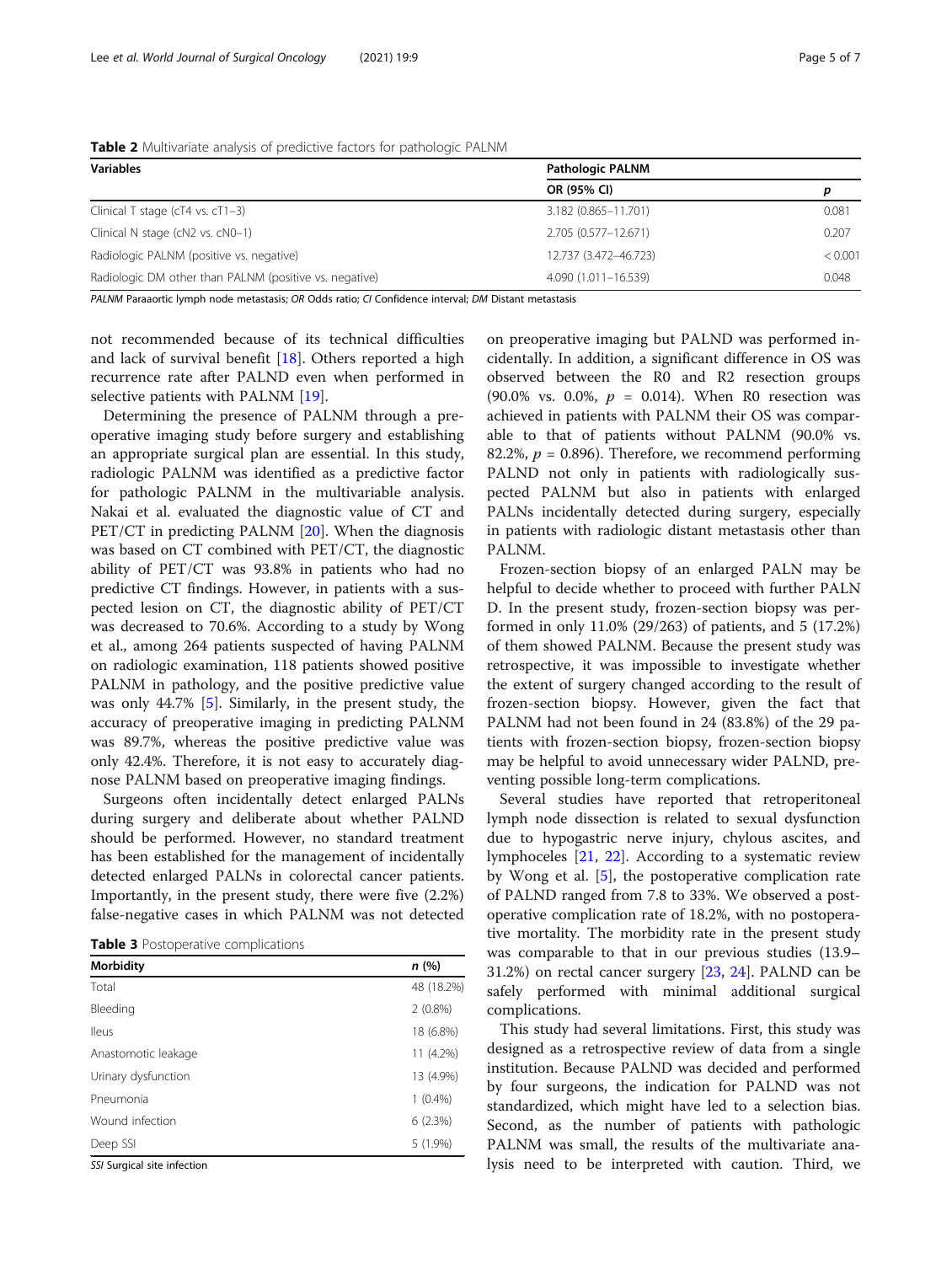<span id="page-4-0"></span>

| <b>Table 2</b> Multivariate analysis of predictive factors for pathologic PALNM |  |  |
|---------------------------------------------------------------------------------|--|--|
|                                                                                 |  |  |

| <b>Variables</b>                                       | <b>Pathologic PALNM</b> |         |  |
|--------------------------------------------------------|-------------------------|---------|--|
|                                                        | OR (95% CI)             |         |  |
| Clinical T stage ( $cT4$ vs. $cT1-3$ )                 | 3.182 (0.865-11.701)    | 0.081   |  |
| Clinical N stage (cN2 vs. cN0-1)                       | 2.705 (0.577-12.671)    | 0.207   |  |
| Radiologic PALNM (positive vs. negative)               | 12.737 (3.472-46.723)   | < 0.001 |  |
| Radiologic DM other than PALNM (positive vs. negative) | 4.090 (1.011-16.539)    | 0.048   |  |

PALNM Paraaortic lymph node metastasis; OR Odds ratio; CI Confidence interval; DM Distant metastasis

not recommended because of its technical difficulties and lack of survival benefit [\[18\]](#page-6-0). Others reported a high recurrence rate after PALND even when performed in selective patients with PALNM [\[19](#page-6-0)].

Determining the presence of PALNM through a preoperative imaging study before surgery and establishing an appropriate surgical plan are essential. In this study, radiologic PALNM was identified as a predictive factor for pathologic PALNM in the multivariable analysis. Nakai et al. evaluated the diagnostic value of CT and PET/CT in predicting PALNM [[20](#page-6-0)]. When the diagnosis was based on CT combined with PET/CT, the diagnostic ability of PET/CT was 93.8% in patients who had no predictive CT findings. However, in patients with a suspected lesion on CT, the diagnostic ability of PET/CT was decreased to 70.6%. According to a study by Wong et al., among 264 patients suspected of having PALNM on radiologic examination, 118 patients showed positive PALNM in pathology, and the positive predictive value was only 44.7% [[5\]](#page-6-0). Similarly, in the present study, the accuracy of preoperative imaging in predicting PALNM was 89.7%, whereas the positive predictive value was only 42.4%. Therefore, it is not easy to accurately diagnose PALNM based on preoperative imaging findings.

Surgeons often incidentally detect enlarged PALNs during surgery and deliberate about whether PALND should be performed. However, no standard treatment has been established for the management of incidentally detected enlarged PALNs in colorectal cancer patients. Importantly, in the present study, there were five (2.2%) false-negative cases in which PALNM was not detected

| <b>Table 3</b> Postoperative complications |  |
|--------------------------------------------|--|
|--------------------------------------------|--|

| <b>Morbidity</b>    | n(%)       |
|---------------------|------------|
| Total               | 48 (18.2%) |
| Bleeding            | $2(0.8\%)$ |
| lleus               | 18 (6.8%)  |
| Anastomotic leakage | 11 (4.2%)  |
| Urinary dysfunction | 13 (4.9%)  |
| Pneumonia           | $1(0.4\%)$ |
| Wound infection     | 6(2.3%)    |
| Deep SSI            | $5(1.9\%)$ |

SSI Surgical site infection

on preoperative imaging but PALND was performed incidentally. In addition, a significant difference in OS was observed between the R0 and R2 resection groups (90.0% vs. 0.0%,  $p = 0.014$ ). When R0 resection was achieved in patients with PALNM their OS was comparable to that of patients without PALNM (90.0% vs. 82.2%,  $p = 0.896$ ). Therefore, we recommend performing PALND not only in patients with radiologically suspected PALNM but also in patients with enlarged PALNs incidentally detected during surgery, especially in patients with radiologic distant metastasis other than PALNM.

Frozen-section biopsy of an enlarged PALN may be helpful to decide whether to proceed with further PALN D. In the present study, frozen-section biopsy was performed in only 11.0% (29/263) of patients, and 5 (17.2%) of them showed PALNM. Because the present study was retrospective, it was impossible to investigate whether the extent of surgery changed according to the result of frozen-section biopsy. However, given the fact that PALNM had not been found in 24 (83.8%) of the 29 patients with frozen-section biopsy, frozen-section biopsy may be helpful to avoid unnecessary wider PALND, preventing possible long-term complications.

Several studies have reported that retroperitoneal lymph node dissection is related to sexual dysfunction due to hypogastric nerve injury, chylous ascites, and lymphoceles [\[21](#page-6-0), [22](#page-6-0)]. According to a systematic review by Wong et al. [[5\]](#page-6-0), the postoperative complication rate of PALND ranged from 7.8 to 33%. We observed a postoperative complication rate of 18.2%, with no postoperative mortality. The morbidity rate in the present study was comparable to that in our previous studies (13.9– 31.2%) on rectal cancer surgery [[23](#page-6-0), [24\]](#page-6-0). PALND can be safely performed with minimal additional surgical complications.

This study had several limitations. First, this study was designed as a retrospective review of data from a single institution. Because PALND was decided and performed by four surgeons, the indication for PALND was not standardized, which might have led to a selection bias. Second, as the number of patients with pathologic PALNM was small, the results of the multivariate analysis need to be interpreted with caution. Third, we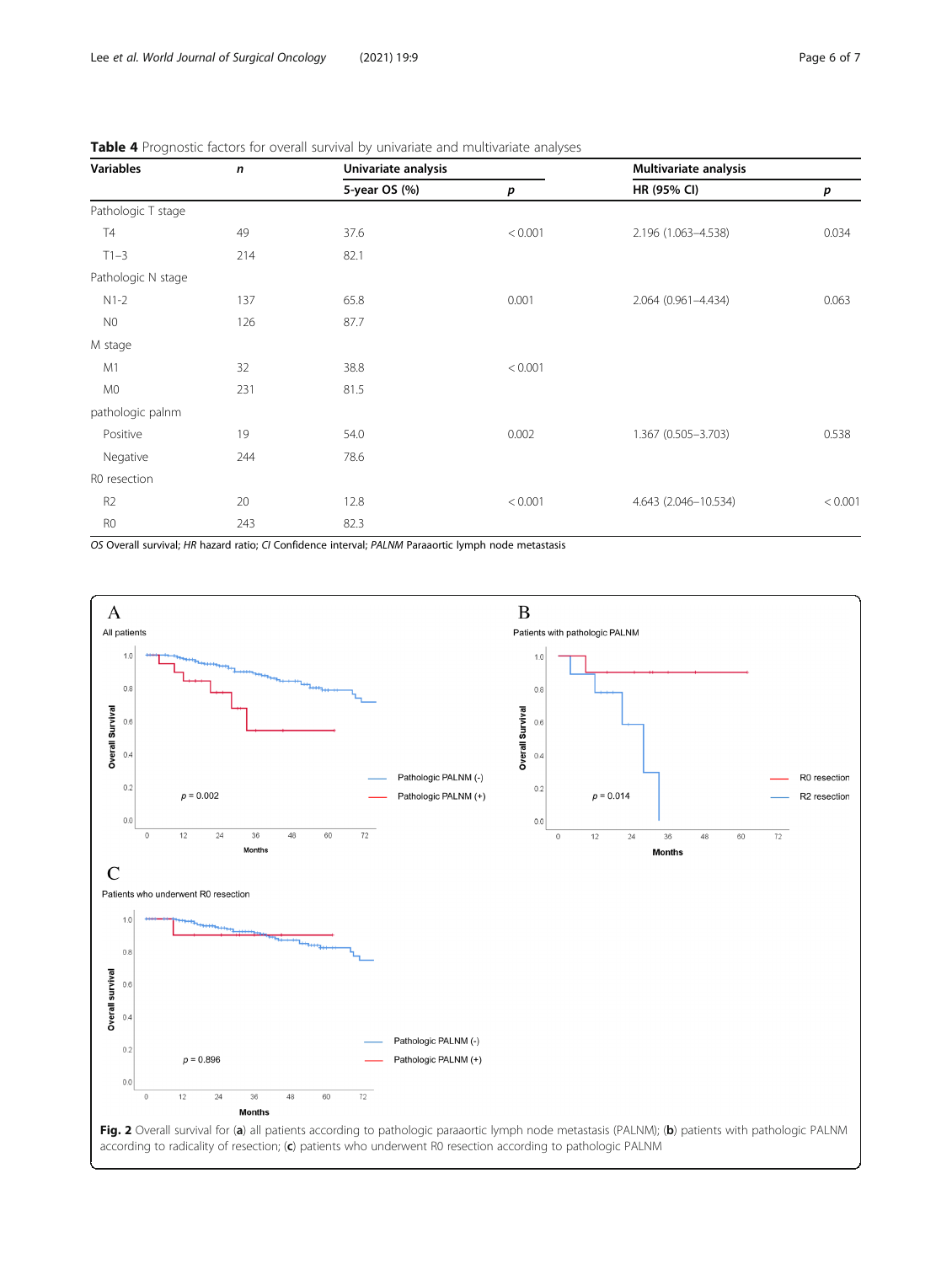N0 126 87.7

M0 231 81.5

Negative 244 78.6

Pathologic N stage

pathologic palnm

R0 resection

M stage

<span id="page-5-0"></span>

| Variables          | n   | Univariate analysis |         | Multivariate analysis |       |
|--------------------|-----|---------------------|---------|-----------------------|-------|
|                    |     | 5-year OS (%)       |         | HR (95% CI)           |       |
| Pathologic T stage |     |                     |         |                       |       |
| <b>T4</b>          | 49  | 37.6                | < 0.001 | 2.196 (1.063-4.538)   | 0.034 |
| $T1 - 3$           | 214 | 82.1                |         |                       |       |

| <b>Table 4</b> Prognostic factors for overall survival by univariate and multivariate analyses |  |  |
|------------------------------------------------------------------------------------------------|--|--|
|------------------------------------------------------------------------------------------------|--|--|

| R <sub>0</sub> | 243 |                                                                                                      |  |
|----------------|-----|------------------------------------------------------------------------------------------------------|--|
|                |     | OS Overall survival; HR hazard ratio; CI Confidence interval; PALNM Paraaortic lymph node metastasis |  |

M1 32 38.8 < 0.001



N1-2 137 65.8 0.001 2.064 (0.961–4.434) 0.063

Positive 19 54.0 0.002 1.367 (0.505–3.703) 0.538

R2 20 12.8 < 0.001 4.643 (2.046–10.534) < 0.001